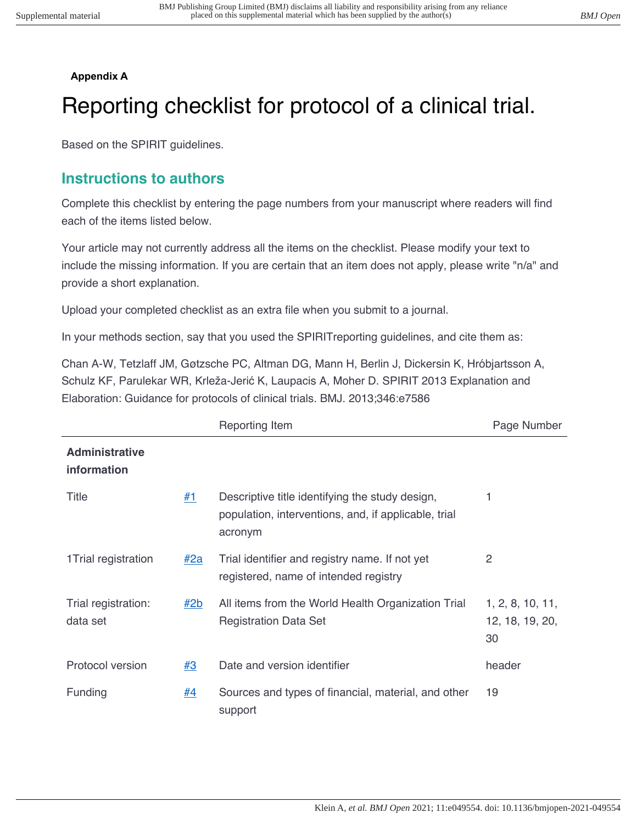## **Appendix A**

## Reporting checklist for protocol of a clinical trial.

Based on the SPIRIT guidelines.

## **Instructions to authors**

Complete this checklist by entering the page numbers from your manuscript where readers will find each of the items listed below.

Your article may not currently address all the items on the checklist. Please modify your text to include the missing information. If you are certain that an item does not apply, please write "n/a" and provide a short explanation.

Upload your completed checklist as an extra file when you submit to a journal.

In your methods section, say that you used the SPIRITreporting guidelines, and cite them as:

Chan A-W, Tetzlaff JM, Gøtzsche PC, Altman DG, Mann H, Berlin J, Dickersin K, Hróbjartsson A, Schulz KF, Parulekar WR, Krleža-Jerić K, Laupacis A, Moher D. SPIRIT 2013 Explanation and Elaboration: Guidance for protocols of clinical trials. BMJ. 2013;346:e7586

|                                      |           | Reporting Item                                                                                                     | Page Number                               |
|--------------------------------------|-----------|--------------------------------------------------------------------------------------------------------------------|-------------------------------------------|
| <b>Administrative</b><br>information |           |                                                                                                                    |                                           |
| Title                                | #1        | Descriptive title identifying the study design,<br>population, interventions, and, if applicable, trial<br>acronym |                                           |
| 1 Trial registration                 | #2a       | Trial identifier and registry name. If not yet<br>registered, name of intended registry                            | 2                                         |
| Trial registration:<br>data set      | #2b       | All items from the World Health Organization Trial<br><b>Registration Data Set</b>                                 | 1, 2, 8, 10, 11,<br>12, 18, 19, 20,<br>30 |
| Protocol version                     | #3        | Date and version identifier                                                                                        | header                                    |
| Funding                              | <u>#4</u> | Sources and types of financial, material, and other<br>support                                                     | 19                                        |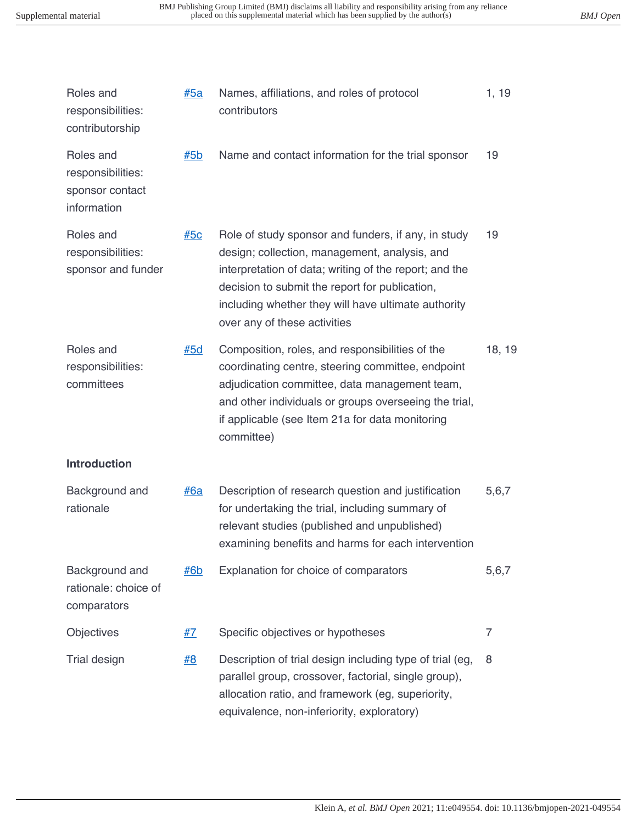| <u>#5a</u> | Names, affiliations, and roles of protocol | 1, 19                                                                                                                                                                                                                                                                                                                                                                                                                                                                                                                                                                                                                                                                                                                                                                                                                                                                                                                                                                                                                                                                                                                                                                                |
|------------|--------------------------------------------|--------------------------------------------------------------------------------------------------------------------------------------------------------------------------------------------------------------------------------------------------------------------------------------------------------------------------------------------------------------------------------------------------------------------------------------------------------------------------------------------------------------------------------------------------------------------------------------------------------------------------------------------------------------------------------------------------------------------------------------------------------------------------------------------------------------------------------------------------------------------------------------------------------------------------------------------------------------------------------------------------------------------------------------------------------------------------------------------------------------------------------------------------------------------------------------|
| #5b        |                                            | 19                                                                                                                                                                                                                                                                                                                                                                                                                                                                                                                                                                                                                                                                                                                                                                                                                                                                                                                                                                                                                                                                                                                                                                                   |
| #5c        |                                            | 19                                                                                                                                                                                                                                                                                                                                                                                                                                                                                                                                                                                                                                                                                                                                                                                                                                                                                                                                                                                                                                                                                                                                                                                   |
| #5d        |                                            | 18, 19                                                                                                                                                                                                                                                                                                                                                                                                                                                                                                                                                                                                                                                                                                                                                                                                                                                                                                                                                                                                                                                                                                                                                                               |
|            |                                            |                                                                                                                                                                                                                                                                                                                                                                                                                                                                                                                                                                                                                                                                                                                                                                                                                                                                                                                                                                                                                                                                                                                                                                                      |
| <u>#6a</u> |                                            | 5,6,7                                                                                                                                                                                                                                                                                                                                                                                                                                                                                                                                                                                                                                                                                                                                                                                                                                                                                                                                                                                                                                                                                                                                                                                |
| <u>#6b</u> |                                            | 5,6,7                                                                                                                                                                                                                                                                                                                                                                                                                                                                                                                                                                                                                                                                                                                                                                                                                                                                                                                                                                                                                                                                                                                                                                                |
| #7         |                                            | 7                                                                                                                                                                                                                                                                                                                                                                                                                                                                                                                                                                                                                                                                                                                                                                                                                                                                                                                                                                                                                                                                                                                                                                                    |
| #8         |                                            | 8                                                                                                                                                                                                                                                                                                                                                                                                                                                                                                                                                                                                                                                                                                                                                                                                                                                                                                                                                                                                                                                                                                                                                                                    |
|            |                                            | contributors<br>Name and contact information for the trial sponsor<br>Role of study sponsor and funders, if any, in study<br>design; collection, management, analysis, and<br>interpretation of data; writing of the report; and the<br>decision to submit the report for publication,<br>including whether they will have ultimate authority<br>over any of these activities<br>Composition, roles, and responsibilities of the<br>coordinating centre, steering committee, endpoint<br>adjudication committee, data management team,<br>and other individuals or groups overseeing the trial,<br>if applicable (see Item 21a for data monitoring<br>committee)<br>Description of research question and justification<br>for undertaking the trial, including summary of<br>relevant studies (published and unpublished)<br>examining benefits and harms for each intervention<br>Explanation for choice of comparators<br>Specific objectives or hypotheses<br>Description of trial design including type of trial (eg,<br>parallel group, crossover, factorial, single group),<br>allocation ratio, and framework (eg, superiority,<br>equivalence, non-inferiority, exploratory) |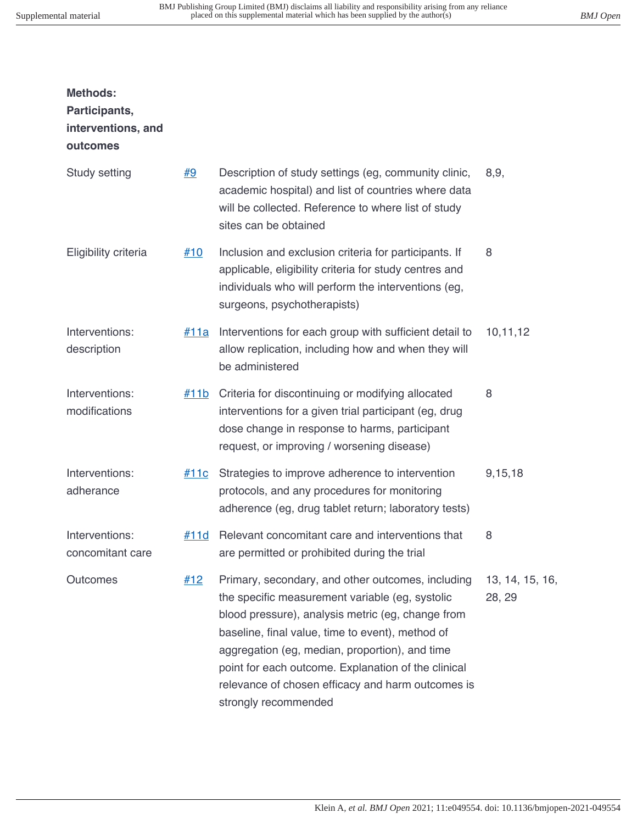| <b>Methods:</b><br>Participants,<br>interventions, and<br>outcomes |           |                                                                                                                                                                                                                                                                                                                                                                                                     |                           |
|--------------------------------------------------------------------|-----------|-----------------------------------------------------------------------------------------------------------------------------------------------------------------------------------------------------------------------------------------------------------------------------------------------------------------------------------------------------------------------------------------------------|---------------------------|
| Study setting                                                      | <u>#9</u> | Description of study settings (eg, community clinic,<br>academic hospital) and list of countries where data<br>will be collected. Reference to where list of study<br>sites can be obtained                                                                                                                                                                                                         | 8,9,                      |
| Eligibility criteria                                               | #10       | Inclusion and exclusion criteria for participants. If<br>applicable, eligibility criteria for study centres and<br>individuals who will perform the interventions (eg,<br>surgeons, psychotherapists)                                                                                                                                                                                               | 8                         |
| Interventions:<br>description                                      | #11a      | Interventions for each group with sufficient detail to<br>allow replication, including how and when they will<br>be administered                                                                                                                                                                                                                                                                    | 10,11,12                  |
| Interventions:<br>modifications                                    | #11b      | Criteria for discontinuing or modifying allocated<br>interventions for a given trial participant (eg, drug<br>dose change in response to harms, participant<br>request, or improving / worsening disease)                                                                                                                                                                                           | 8                         |
| Interventions:<br>adherance                                        | #11c      | Strategies to improve adherence to intervention<br>protocols, and any procedures for monitoring<br>adherence (eg, drug tablet return; laboratory tests)                                                                                                                                                                                                                                             | 9,15,18                   |
| Interventions:<br>concomitant care                                 | #11d      | Relevant concomitant care and interventions that<br>are permitted or prohibited during the trial                                                                                                                                                                                                                                                                                                    | 8                         |
| Outcomes                                                           | #12       | Primary, secondary, and other outcomes, including<br>the specific measurement variable (eg, systolic<br>blood pressure), analysis metric (eg, change from<br>baseline, final value, time to event), method of<br>aggregation (eg, median, proportion), and time<br>point for each outcome. Explanation of the clinical<br>relevance of chosen efficacy and harm outcomes is<br>strongly recommended | 13, 14, 15, 16,<br>28, 29 |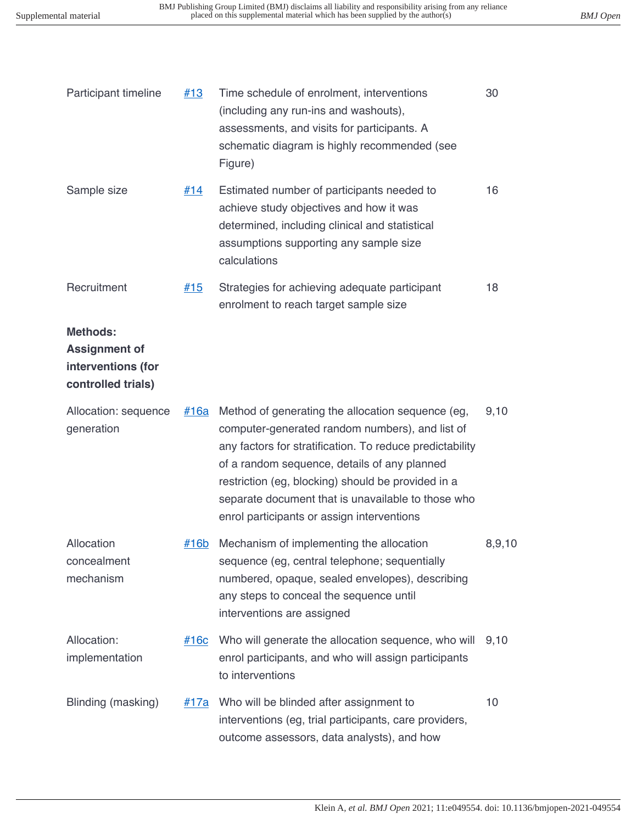| Participant timeline                                                         | #13         | Time schedule of enrolment, interventions<br>(including any run-ins and washouts),<br>assessments, and visits for participants. A<br>schematic diagram is highly recommended (see<br>Figure)                                                                                                                                                                               | 30     |
|------------------------------------------------------------------------------|-------------|----------------------------------------------------------------------------------------------------------------------------------------------------------------------------------------------------------------------------------------------------------------------------------------------------------------------------------------------------------------------------|--------|
| Sample size                                                                  | #14         | Estimated number of participants needed to<br>achieve study objectives and how it was<br>determined, including clinical and statistical<br>assumptions supporting any sample size<br>calculations                                                                                                                                                                          | 16     |
| Recruitment                                                                  | #15         | Strategies for achieving adequate participant<br>enrolment to reach target sample size                                                                                                                                                                                                                                                                                     | 18     |
| Methods:<br><b>Assignment of</b><br>interventions (for<br>controlled trials) |             |                                                                                                                                                                                                                                                                                                                                                                            |        |
| Allocation: sequence<br>generation                                           | <u>#16a</u> | Method of generating the allocation sequence (eg,<br>computer-generated random numbers), and list of<br>any factors for stratification. To reduce predictability<br>of a random sequence, details of any planned<br>restriction (eg, blocking) should be provided in a<br>separate document that is unavailable to those who<br>enrol participants or assign interventions | 9,10   |
| Allocation<br>concealment<br>mechanism                                       | $\#16b$     | Mechanism of implementing the allocation<br>sequence (eg, central telephone; sequentially<br>numbered, opaque, sealed envelopes), describing<br>any steps to conceal the sequence until<br>interventions are assigned                                                                                                                                                      | 8,9,10 |
| Allocation:<br>implementation                                                | <u>#16c</u> | Who will generate the allocation sequence, who will<br>enrol participants, and who will assign participants<br>to interventions                                                                                                                                                                                                                                            | 9,10   |
| Blinding (masking)                                                           | <u>#17a</u> | Who will be blinded after assignment to<br>interventions (eg, trial participants, care providers,<br>outcome assessors, data analysts), and how                                                                                                                                                                                                                            | 10     |
|                                                                              |             |                                                                                                                                                                                                                                                                                                                                                                            |        |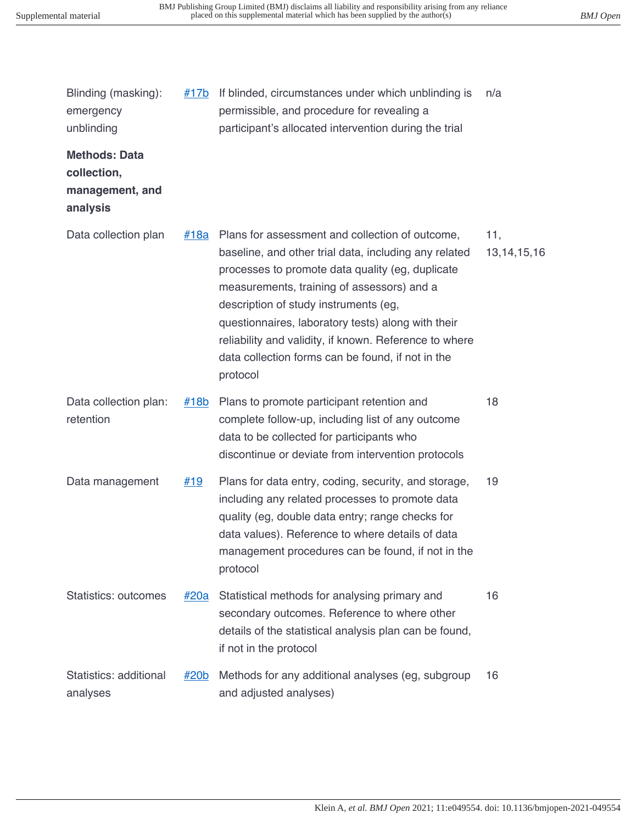| Blinding (masking):<br>emergency<br>unblinding                     | <u>#17b</u> | If blinded, circumstances under which unblinding is<br>permissible, and procedure for revealing a<br>participant's allocated intervention during the trial                                                                                                                                                                                                                                                                           | n/a                   |
|--------------------------------------------------------------------|-------------|--------------------------------------------------------------------------------------------------------------------------------------------------------------------------------------------------------------------------------------------------------------------------------------------------------------------------------------------------------------------------------------------------------------------------------------|-----------------------|
| <b>Methods: Data</b><br>collection,<br>management, and<br>analysis |             |                                                                                                                                                                                                                                                                                                                                                                                                                                      |                       |
| Data collection plan                                               | <u>#18a</u> | Plans for assessment and collection of outcome,<br>baseline, and other trial data, including any related<br>processes to promote data quality (eg, duplicate<br>measurements, training of assessors) and a<br>description of study instruments (eg,<br>questionnaires, laboratory tests) along with their<br>reliability and validity, if known. Reference to where<br>data collection forms can be found, if not in the<br>protocol | 11,<br>13, 14, 15, 16 |
| Data collection plan:<br>retention                                 | $\#18b$     | Plans to promote participant retention and<br>complete follow-up, including list of any outcome<br>data to be collected for participants who<br>discontinue or deviate from intervention protocols                                                                                                                                                                                                                                   | 18                    |
| Data management                                                    | <u>#19</u>  | Plans for data entry, coding, security, and storage,<br>including any related processes to promote data<br>quality (eg, double data entry; range checks for<br>data values). Reference to where details of data<br>management procedures can be found, if not in the<br>protocol                                                                                                                                                     | 19                    |
| <b>Statistics: outcomes</b>                                        | <u>#20a</u> | Statistical methods for analysing primary and<br>secondary outcomes. Reference to where other<br>details of the statistical analysis plan can be found,<br>if not in the protocol                                                                                                                                                                                                                                                    | 16                    |
| Statistics: additional<br>analyses                                 | <u>#20b</u> | Methods for any additional analyses (eg, subgroup<br>and adjusted analyses)                                                                                                                                                                                                                                                                                                                                                          | 16                    |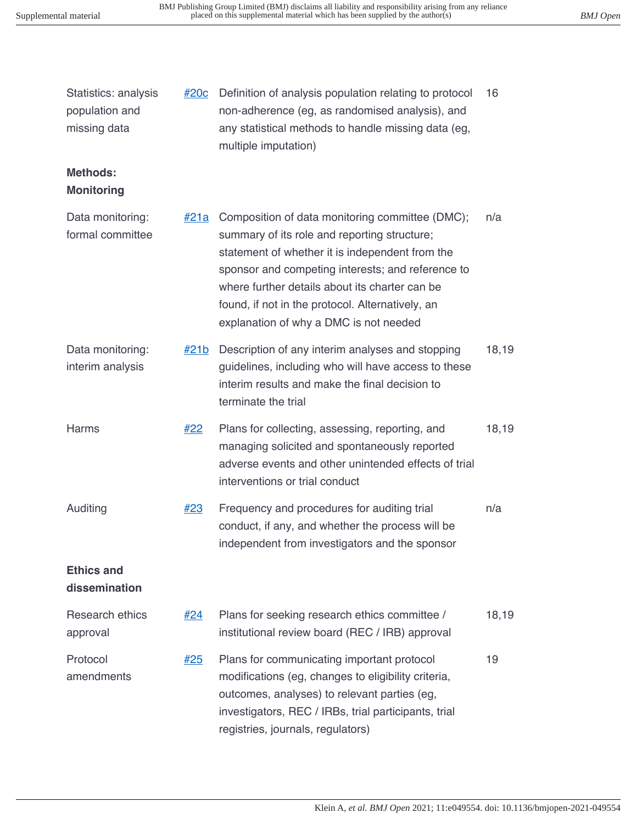| Statistics: analysis<br>population and<br>missing data | #20c        | Definition of analysis population relating to protocol<br>non-adherence (eg, as randomised analysis), and<br>any statistical methods to handle missing data (eg,<br>multiple imputation)                                                                                                                                                                | 16    |
|--------------------------------------------------------|-------------|---------------------------------------------------------------------------------------------------------------------------------------------------------------------------------------------------------------------------------------------------------------------------------------------------------------------------------------------------------|-------|
| <b>Methods:</b><br><b>Monitoring</b>                   |             |                                                                                                                                                                                                                                                                                                                                                         |       |
| Data monitoring:<br>formal committee                   | <u>#21a</u> | Composition of data monitoring committee (DMC);<br>summary of its role and reporting structure;<br>statement of whether it is independent from the<br>sponsor and competing interests; and reference to<br>where further details about its charter can be<br>found, if not in the protocol. Alternatively, an<br>explanation of why a DMC is not needed | n/a   |
| Data monitoring:<br>interim analysis                   | #21b        | Description of any interim analyses and stopping<br>guidelines, including who will have access to these<br>interim results and make the final decision to<br>terminate the trial                                                                                                                                                                        | 18,19 |
| <b>Harms</b>                                           | <u>#22</u>  | Plans for collecting, assessing, reporting, and<br>managing solicited and spontaneously reported<br>adverse events and other unintended effects of trial<br>interventions or trial conduct                                                                                                                                                              | 18,19 |
| Auditing                                               | #23         | Frequency and procedures for auditing trial<br>conduct, if any, and whether the process will be<br>independent from investigators and the sponsor                                                                                                                                                                                                       | n/a   |
| <b>Ethics and</b><br>dissemination                     |             |                                                                                                                                                                                                                                                                                                                                                         |       |
| Research ethics<br>approval                            | #24         | Plans for seeking research ethics committee /<br>institutional review board (REC / IRB) approval                                                                                                                                                                                                                                                        | 18,19 |
| Protocol<br>amendments                                 | <u>#25</u>  | Plans for communicating important protocol<br>modifications (eg, changes to eligibility criteria,<br>outcomes, analyses) to relevant parties (eg,<br>investigators, REC / IRBs, trial participants, trial<br>registries, journals, regulators)                                                                                                          | 19    |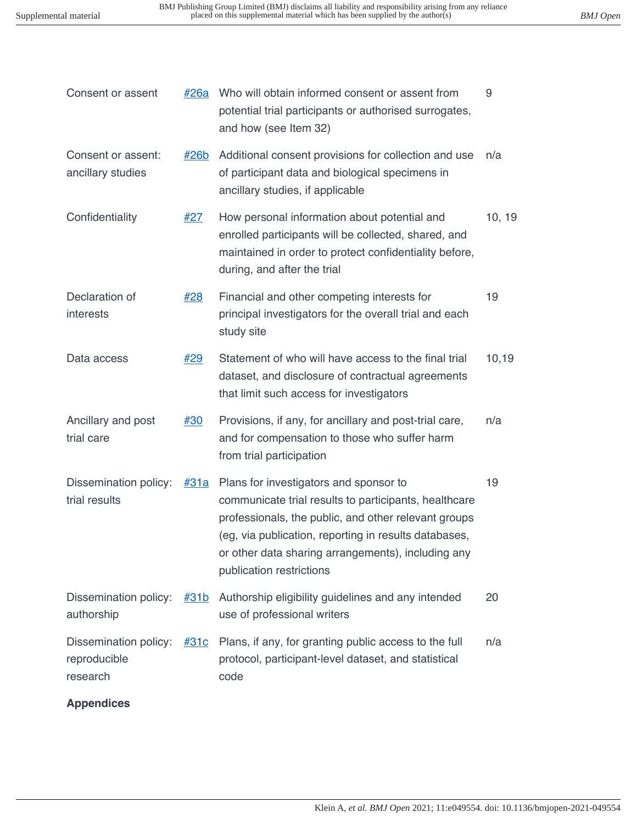9

Consent or assent  $\frac{\#26a}{\#26a}$  Who will obtain informed consent or assent from

|                                                   |             | potential trial participants or authorised surrogates,<br>and how (see Item 32)                                                                                                                                                                                                                    |        |
|---------------------------------------------------|-------------|----------------------------------------------------------------------------------------------------------------------------------------------------------------------------------------------------------------------------------------------------------------------------------------------------|--------|
| Consent or assent:<br>ancillary studies           | <u>#26b</u> | Additional consent provisions for collection and use<br>of participant data and biological specimens in<br>ancillary studies, if applicable                                                                                                                                                        | n/a    |
| Confidentiality                                   | #27         | How personal information about potential and<br>enrolled participants will be collected, shared, and<br>maintained in order to protect confidentiality before,<br>during, and after the trial                                                                                                      | 10, 19 |
| Declaration of<br>interests                       | #28         | Financial and other competing interests for<br>principal investigators for the overall trial and each<br>study site                                                                                                                                                                                | 19     |
| Data access                                       | #29         | Statement of who will have access to the final trial<br>dataset, and disclosure of contractual agreements<br>that limit such access for investigators                                                                                                                                              | 10,19  |
| Ancillary and post<br>trial care                  | #30         | Provisions, if any, for ancillary and post-trial care,<br>and for compensation to those who suffer harm<br>from trial participation                                                                                                                                                                | n/a    |
| Dissemination policy:<br>trial results            | <u>#31a</u> | Plans for investigators and sponsor to<br>communicate trial results to participants, healthcare<br>professionals, the public, and other relevant groups<br>(eg, via publication, reporting in results databases,<br>or other data sharing arrangements), including any<br>publication restrictions | 19     |
| Dissemination policy:<br>authorship               | #31b        | Authorship eligibility guidelines and any intended<br>use of professional writers                                                                                                                                                                                                                  | 20     |
| Dissemination policy:<br>reproducible<br>research | <u>#31c</u> | Plans, if any, for granting public access to the full<br>protocol, participant-level dataset, and statistical<br>code                                                                                                                                                                              | n/a    |
| <b>Appendices</b>                                 |             |                                                                                                                                                                                                                                                                                                    |        |